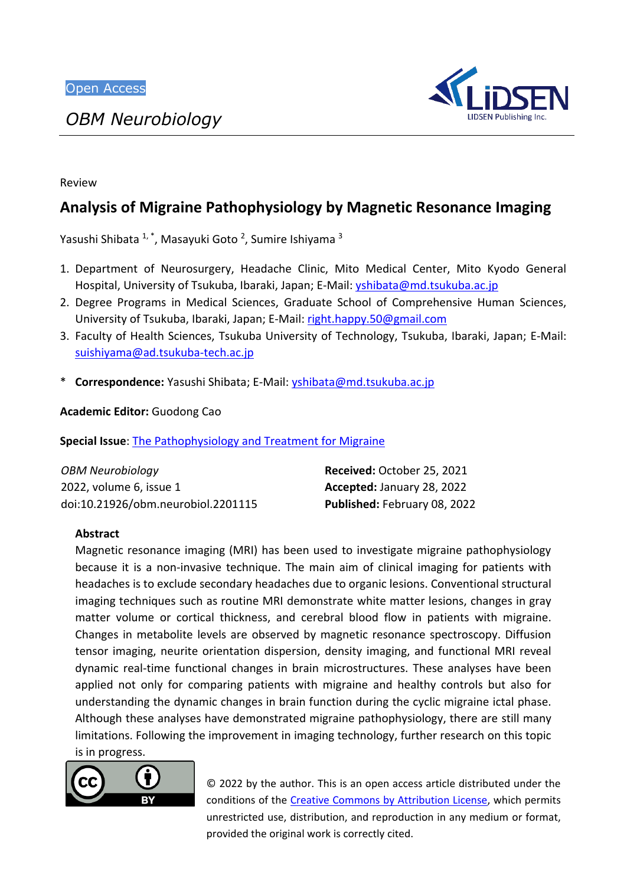*OBM Neurobiology*



#### Review

# **Analysis of Migraine Pathophysiology by Magnetic Resonance Imaging**

Yasushi Shibata <sup>1,</sup> \*, Masayuki Goto <sup>2</sup>, Sumire Ishiyama <sup>3</sup>

- 1. Department of Neurosurgery, Headache Clinic, Mito Medical Center, Mito Kyodo General Hospital, University of Tsukuba, Ibaraki, Japan; E-Mail: [yshibata@md.tsukuba.ac.jp](mailto:yshibata@md.tsukuba.ac.jp)
- 2. Degree Programs in Medical Sciences, Graduate School of Comprehensive Human Sciences, University of Tsukuba, Ibaraki, Japan; E-Mail: [right.happy.50@gmail.com](mailto:right.happy.50@gmail.com)
- 3. Faculty of Health Sciences, Tsukuba University of Technology, Tsukuba, Ibaraki, Japan; E-Mail: suishiyama@ad.tsukuba-tech.ac.jp
- \* **Correspondence:** Yasushi Shibata; E-Mail: [yshibata@md.tsukuba.ac.jp](mailto:yshibata@md.tsukuba.ac.jp)

**Academic Editor:** Guodong Cao

**Special Issue**: [The Pathophysiology and Treatment for Migraine](https://www.lidsen.com/journals/neurobiology/neurobiology-special-issues/Prev-Treat-Migr)

| <b>OBM Neurobiology</b>            | Received: October 25, 2021   |
|------------------------------------|------------------------------|
| 2022, volume 6, issue 1            | Accepted: January 28, 2022   |
| doi:10.21926/obm.neurobiol.2201115 | Published: February 08, 2022 |

#### **Abstract**

Magnetic resonance imaging (MRI) has been used to investigate migraine pathophysiology because it is a non-invasive technique. The main aim of clinical imaging for patients with headaches is to exclude secondary headaches due to organic lesions. Conventional structural imaging techniques such as routine MRI demonstrate white matter lesions, changes in gray matter volume or cortical thickness, and cerebral blood flow in patients with migraine. Changes in metabolite levels are observed by magnetic resonance spectroscopy. Diffusion tensor imaging, neurite orientation dispersion, density imaging, and functional MRI reveal dynamic real-time functional changes in brain microstructures. These analyses have been applied not only for comparing patients with migraine and healthy controls but also for understanding the dynamic changes in brain function during the cyclic migraine ictal phase. Although these analyses have demonstrated migraine pathophysiology, there are still many limitations. Following the improvement in imaging technology, further research on this topic is in progress.



© 2022 by the author. This is an open access article distributed under the conditions of the [Creative Commons by Attribution License,](http://creativecommons.org/licenses/by/4.0/) which permits unrestricted use, distribution, and reproduction in any medium or format, provided the original work is correctly cited.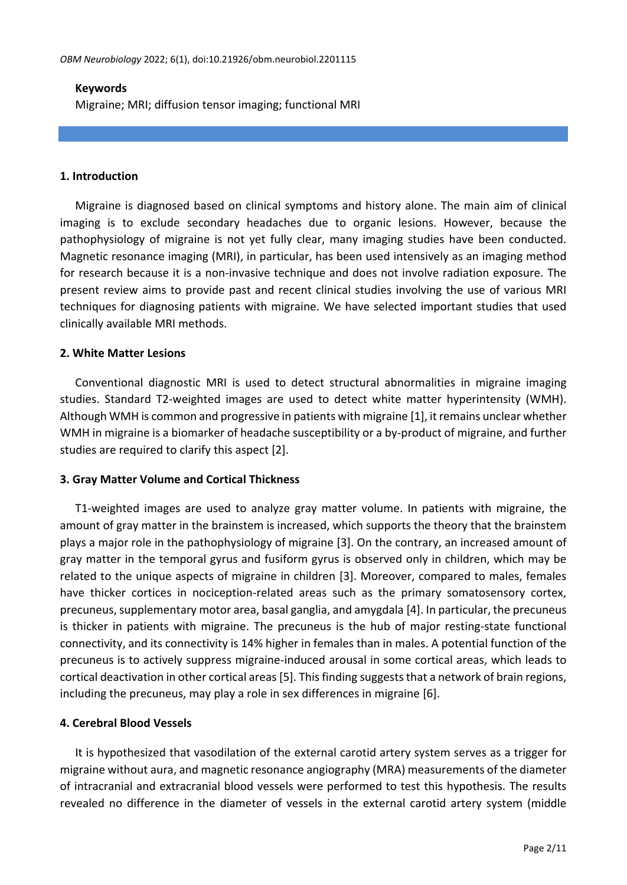## **Keywords**

Migraine; MRI; diffusion tensor imaging; functional MRI

## **1. Introduction**

Migraine is diagnosed based on clinical symptoms and history alone. The main aim of clinical imaging is to exclude secondary headaches due to organic lesions. However, because the pathophysiology of migraine is not yet fully clear, many imaging studies have been conducted. Magnetic resonance imaging (MRI), in particular, has been used intensively as an imaging method for research because it is a non-invasive technique and does not involve radiation exposure. The present review aims to provide past and recent clinical studies involving the use of various MRI techniques for diagnosing patients with migraine. We have selected important studies that used clinically available MRI methods.

## **2. White Matter Lesions**

Conventional diagnostic MRI is used to detect structural abnormalities in migraine imaging studies. Standard T2-weighted images are used to detect white matter hyperintensity (WMH). Although WMH is common and progressive in patients with migraine [1], it remains unclear whether WMH in migraine is a biomarker of headache susceptibility or a by-product of migraine, and further studies are required to clarify this aspect [2].

# **3. Gray Matter Volume and Cortical Thickness**

T1-weighted images are used to analyze gray matter volume. In patients with migraine, the amount of gray matter in the brainstem is increased, which supports the theory that the brainstem plays a major role in the pathophysiology of migraine [3]. On the contrary, an increased amount of gray matter in the temporal gyrus and fusiform gyrus is observed only in children, which may be related to the unique aspects of migraine in children [3]. Moreover, compared to males, females have thicker cortices in nociception-related areas such as the primary somatosensory cortex, precuneus, supplementary motor area, basal ganglia, and amygdala [4]. In particular, the precuneus is thicker in patients with migraine. The precuneus is the hub of major resting-state functional connectivity, and its connectivity is 14% higher in females than in males. A potential function of the precuneus is to actively suppress migraine-induced arousal in some cortical areas, which leads to cortical deactivation in other cortical areas [5]. This finding suggests that a network of brain regions, including the precuneus, may play a role in sex differences in migraine [6].

# **4. Cerebral Blood Vessels**

It is hypothesized that vasodilation of the external carotid artery system serves as a trigger for migraine without aura, and magnetic resonance angiography (MRA) measurements of the diameter of intracranial and extracranial blood vessels were performed to test this hypothesis. The results revealed no difference in the diameter of vessels in the external carotid artery system (middle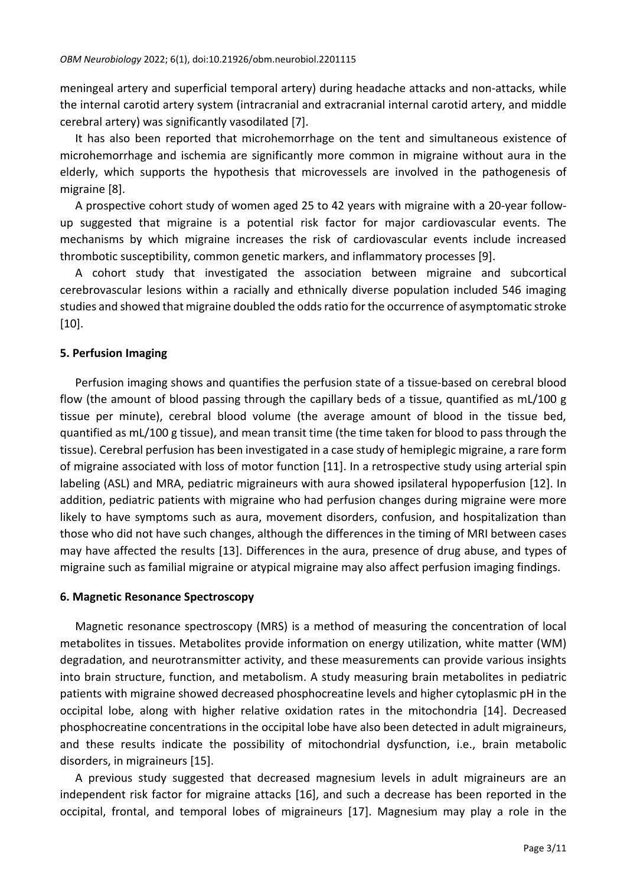meningeal artery and superficial temporal artery) during headache attacks and non-attacks, while the internal carotid artery system (intracranial and extracranial internal carotid artery, and middle cerebral artery) was significantly vasodilated [7].

It has also been reported that microhemorrhage on the tent and simultaneous existence of microhemorrhage and ischemia are significantly more common in migraine without aura in the elderly, which supports the hypothesis that microvessels are involved in the pathogenesis of migraine [8].

A prospective cohort study of women aged 25 to 42 years with migraine with a 20-year followup suggested that migraine is a potential risk factor for major cardiovascular events. The mechanisms by which migraine increases the risk of cardiovascular events include increased thrombotic susceptibility, common genetic markers, and inflammatory processes [9].

A cohort study that investigated the association between migraine and subcortical cerebrovascular lesions within a racially and ethnically diverse population included 546 imaging studies and showed that migraine doubled the odds ratio for the occurrence of asymptomatic stroke [10].

## **5. Perfusion Imaging**

Perfusion imaging shows and quantifies the perfusion state of a tissue-based on cerebral blood flow (the amount of blood passing through the capillary beds of a tissue, quantified as mL/100 g tissue per minute), cerebral blood volume (the average amount of blood in the tissue bed, quantified as mL/100 g tissue), and mean transit time (the time taken for blood to pass through the tissue). Cerebral perfusion has been investigated in a case study of hemiplegic migraine, a rare form of migraine associated with loss of motor function [11]. In a retrospective study using arterial spin labeling (ASL) and MRA, pediatric migraineurs with aura showed ipsilateral hypoperfusion [12]. In addition, pediatric patients with migraine who had perfusion changes during migraine were more likely to have symptoms such as aura, movement disorders, confusion, and hospitalization than those who did not have such changes, although the differences in the timing of MRI between cases may have affected the results [13]. Differences in the aura, presence of drug abuse, and types of migraine such as familial migraine or atypical migraine may also affect perfusion imaging findings.

#### **6. Magnetic Resonance Spectroscopy**

Magnetic resonance spectroscopy (MRS) is a method of measuring the concentration of local metabolites in tissues. Metabolites provide information on energy utilization, white matter (WM) degradation, and neurotransmitter activity, and these measurements can provide various insights into brain structure, function, and metabolism. A study measuring brain metabolites in pediatric patients with migraine showed decreased phosphocreatine levels and higher cytoplasmic pH in the occipital lobe, along with higher relative oxidation rates in the mitochondria [14]. Decreased phosphocreatine concentrations in the occipital lobe have also been detected in adult migraineurs, and these results indicate the possibility of mitochondrial dysfunction, i.e., brain metabolic disorders, in migraineurs [15].

A previous study suggested that decreased magnesium levels in adult migraineurs are an independent risk factor for migraine attacks [16], and such a decrease has been reported in the occipital, frontal, and temporal lobes of migraineurs [17]. Magnesium may play a role in the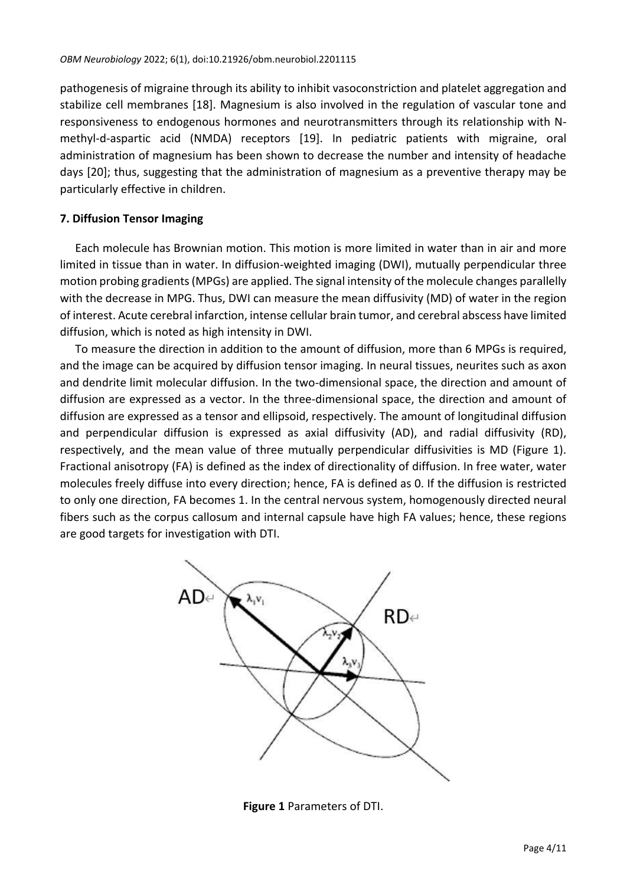pathogenesis of migraine through its ability to inhibit vasoconstriction and platelet aggregation and stabilize cell membranes [18]. Magnesium is also involved in the regulation of vascular tone and responsiveness to endogenous hormones and neurotransmitters through its relationship with Nmethyl-d-aspartic acid (NMDA) receptors [19]. In pediatric patients with migraine, oral administration of magnesium has been shown to decrease the number and intensity of headache days [20]; thus, suggesting that the administration of magnesium as a preventive therapy may be particularly effective in children.

# **7. Diffusion Tensor Imaging**

Each molecule has Brownian motion. This motion is more limited in water than in air and more limited in tissue than in water. In diffusion-weighted imaging (DWI), mutually perpendicular three motion probing gradients (MPGs) are applied. The signal intensity of the molecule changes parallelly with the decrease in MPG. Thus, DWI can measure the mean diffusivity (MD) of water in the region of interest. Acute cerebral infarction, intense cellular brain tumor, and cerebral abscess have limited diffusion, which is noted as high intensity in DWI.

To measure the direction in addition to the amount of diffusion, more than 6 MPGs is required, and the image can be acquired by diffusion tensor imaging. In neural tissues, neurites such as axon and dendrite limit molecular diffusion. In the two-dimensional space, the direction and amount of diffusion are expressed as a vector. In the three-dimensional space, the direction and amount of diffusion are expressed as a tensor and ellipsoid, respectively. The amount of longitudinal diffusion and perpendicular diffusion is expressed as axial diffusivity (AD), and radial diffusivity (RD), respectively, and the mean value of three mutually perpendicular diffusivities is MD (Figure 1). Fractional anisotropy (FA) is defined as the index of directionality of diffusion. In free water, water molecules freely diffuse into every direction; hence, FA is defined as 0. If the diffusion is restricted to only one direction, FA becomes 1. In the central nervous system, homogenously directed neural fibers such as the corpus callosum and internal capsule have high FA values; hence, these regions are good targets for investigation with DTI.



**Figure 1** Parameters of DTI.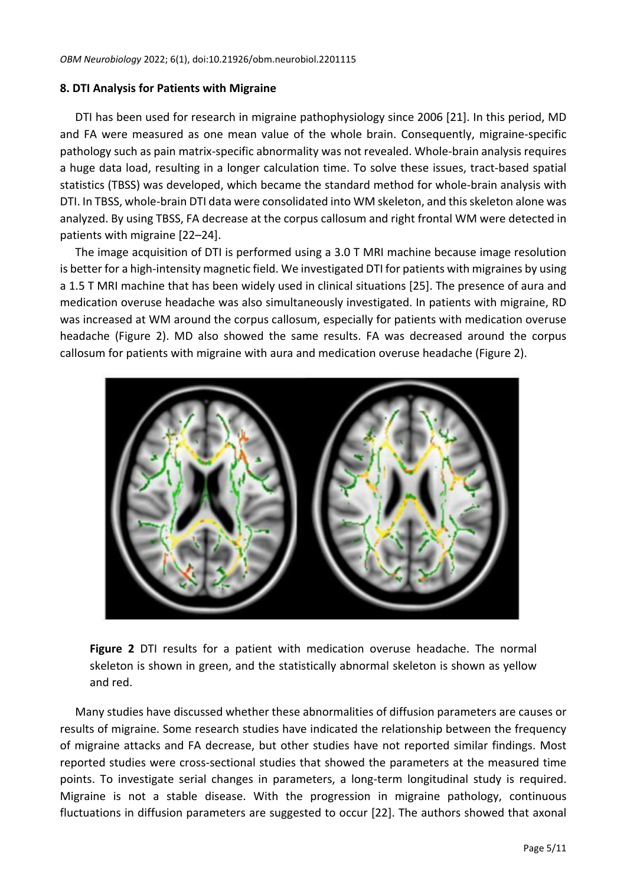## **8. DTI Analysis for Patients with Migraine**

DTI has been used for research in migraine pathophysiology since 2006 [21]. In this period, MD and FA were measured as one mean value of the whole brain. Consequently, migraine-specific pathology such as pain matrix-specific abnormality was not revealed. Whole-brain analysis requires a huge data load, resulting in a longer calculation time. To solve these issues, tract-based spatial statistics (TBSS) was developed, which became the standard method for whole-brain analysis with DTI. In TBSS, whole-brain DTI data were consolidated into WM skeleton, and this skeleton alone was analyzed. By using TBSS, FA decrease at the corpus callosum and right frontal WM were detected in patients with migraine [22–24].

The image acquisition of DTI is performed using a 3.0 T MRI machine because image resolution is better for a high-intensity magnetic field. We investigated DTI for patients with migraines by using a 1.5 T MRI machine that has been widely used in clinical situations [25]. The presence of aura and medication overuse headache was also simultaneously investigated. In patients with migraine, RD was increased at WM around the corpus callosum, especially for patients with medication overuse headache (Figure 2). MD also showed the same results. FA was decreased around the corpus callosum for patients with migraine with aura and medication overuse headache (Figure 2).



**Figure 2** DTI results for a patient with medication overuse headache. The normal skeleton is shown in green, and the statistically abnormal skeleton is shown as yellow and red.

Many studies have discussed whether these abnormalities of diffusion parameters are causes or results of migraine. Some research studies have indicated the relationship between the frequency of migraine attacks and FA decrease, but other studies have not reported similar findings. Most reported studies were cross-sectional studies that showed the parameters at the measured time points. To investigate serial changes in parameters, a long-term longitudinal study is required. Migraine is not a stable disease. With the progression in migraine pathology, continuous fluctuations in diffusion parameters are suggested to occur [22]. The authors showed that axonal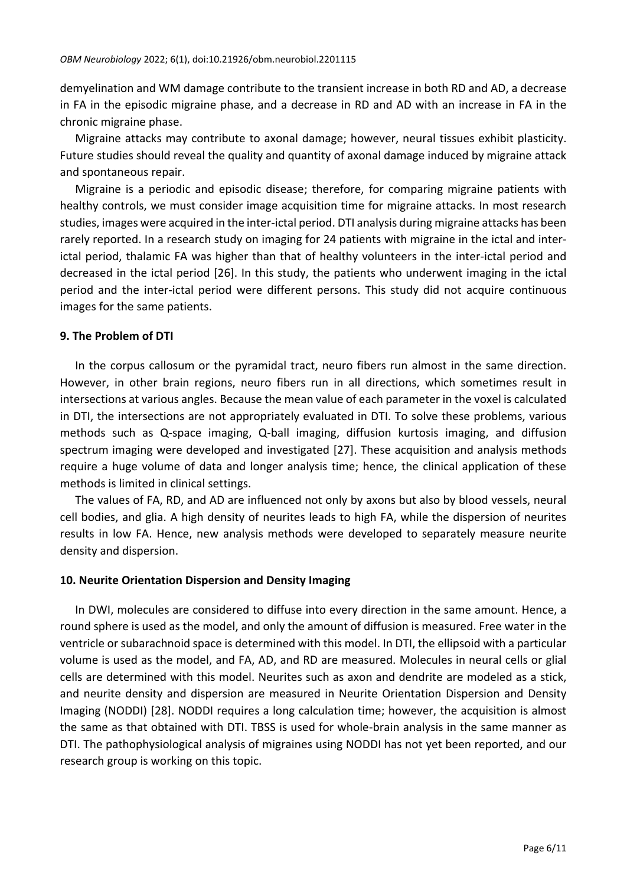demyelination and WM damage contribute to the transient increase in both RD and AD, a decrease in FA in the episodic migraine phase, and a decrease in RD and AD with an increase in FA in the chronic migraine phase.

Migraine attacks may contribute to axonal damage; however, neural tissues exhibit plasticity. Future studies should reveal the quality and quantity of axonal damage induced by migraine attack and spontaneous repair.

Migraine is a periodic and episodic disease; therefore, for comparing migraine patients with healthy controls, we must consider image acquisition time for migraine attacks. In most research studies, images were acquired in the inter-ictal period. DTI analysis during migraine attacks has been rarely reported. In a research study on imaging for 24 patients with migraine in the ictal and interictal period, thalamic FA was higher than that of healthy volunteers in the inter-ictal period and decreased in the ictal period [26]. In this study, the patients who underwent imaging in the ictal period and the inter-ictal period were different persons. This study did not acquire continuous images for the same patients.

## **9. The Problem of DTI**

In the corpus callosum or the pyramidal tract, neuro fibers run almost in the same direction. However, in other brain regions, neuro fibers run in all directions, which sometimes result in intersections at various angles. Because the mean value of each parameter in the voxel is calculated in DTI, the intersections are not appropriately evaluated in DTI. To solve these problems, various methods such as Q-space imaging, Q-ball imaging, diffusion kurtosis imaging, and diffusion spectrum imaging were developed and investigated [27]. These acquisition and analysis methods require a huge volume of data and longer analysis time; hence, the clinical application of these methods is limited in clinical settings.

The values of FA, RD, and AD are influenced not only by axons but also by blood vessels, neural cell bodies, and glia. A high density of neurites leads to high FA, while the dispersion of neurites results in low FA. Hence, new analysis methods were developed to separately measure neurite density and dispersion.

#### **10. Neurite Orientation Dispersion and Density Imaging**

In DWI, molecules are considered to diffuse into every direction in the same amount. Hence, a round sphere is used as the model, and only the amount of diffusion is measured. Free water in the ventricle or subarachnoid space is determined with this model. In DTI, the ellipsoid with a particular volume is used as the model, and FA, AD, and RD are measured. Molecules in neural cells or glial cells are determined with this model. Neurites such as axon and dendrite are modeled as a stick, and neurite density and dispersion are measured in Neurite Orientation Dispersion and Density Imaging (NODDI) [28]. NODDI requires a long calculation time; however, the acquisition is almost the same as that obtained with DTI. TBSS is used for whole-brain analysis in the same manner as DTI. The pathophysiological analysis of migraines using NODDI has not yet been reported, and our research group is working on this topic.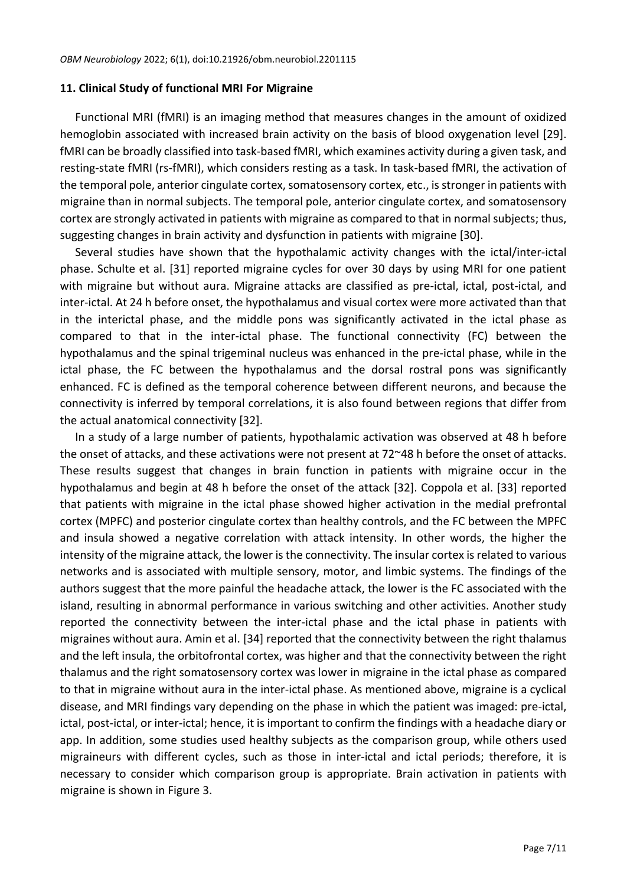#### **11. Clinical Study of functional MRI For Migraine**

Functional MRI (fMRI) is an imaging method that measures changes in the amount of oxidized hemoglobin associated with increased brain activity on the basis of blood oxygenation level [29]. fMRI can be broadly classified into task-based fMRI, which examines activity during a given task, and resting-state fMRI (rs-fMRI), which considers resting as a task. In task-based fMRI, the activation of the temporal pole, anterior cingulate cortex, somatosensory cortex, etc., is stronger in patients with migraine than in normal subjects. The temporal pole, anterior cingulate cortex, and somatosensory cortex are strongly activated in patients with migraine as compared to that in normal subjects; thus, suggesting changes in brain activity and dysfunction in patients with migraine [30].

Several studies have shown that the hypothalamic activity changes with the ictal/inter-ictal phase. Schulte et al. [31] reported migraine cycles for over 30 days by using MRI for one patient with migraine but without aura. Migraine attacks are classified as pre-ictal, ictal, post-ictal, and inter-ictal. At 24 h before onset, the hypothalamus and visual cortex were more activated than that in the interictal phase, and the middle pons was significantly activated in the ictal phase as compared to that in the inter-ictal phase. The functional connectivity (FC) between the hypothalamus and the spinal trigeminal nucleus was enhanced in the pre-ictal phase, while in the ictal phase, the FC between the hypothalamus and the dorsal rostral pons was significantly enhanced. FC is defined as the temporal coherence between different neurons, and because the connectivity is inferred by temporal correlations, it is also found between regions that differ from the actual anatomical connectivity [32].

In a study of a large number of patients, hypothalamic activation was observed at 48 h before the onset of attacks, and these activations were not present at 72~48 h before the onset of attacks. These results suggest that changes in brain function in patients with migraine occur in the hypothalamus and begin at 48 h before the onset of the attack [32]. Coppola et al. [33] reported that patients with migraine in the ictal phase showed higher activation in the medial prefrontal cortex (MPFC) and posterior cingulate cortex than healthy controls, and the FC between the MPFC and insula showed a negative correlation with attack intensity. In other words, the higher the intensity of the migraine attack, the lower is the connectivity. The insular cortex is related to various networks and is associated with multiple sensory, motor, and limbic systems. The findings of the authors suggest that the more painful the headache attack, the lower is the FC associated with the island, resulting in abnormal performance in various switching and other activities. Another study reported the connectivity between the inter-ictal phase and the ictal phase in patients with migraines without aura. Amin et al. [34] reported that the connectivity between the right thalamus and the left insula, the orbitofrontal cortex, was higher and that the connectivity between the right thalamus and the right somatosensory cortex was lower in migraine in the ictal phase as compared to that in migraine without aura in the inter-ictal phase. As mentioned above, migraine is a cyclical disease, and MRI findings vary depending on the phase in which the patient was imaged: pre-ictal, ictal, post-ictal, or inter-ictal; hence, it is important to confirm the findings with a headache diary or app. In addition, some studies used healthy subjects as the comparison group, while others used migraineurs with different cycles, such as those in inter-ictal and ictal periods; therefore, it is necessary to consider which comparison group is appropriate. Brain activation in patients with migraine is shown in Figure 3.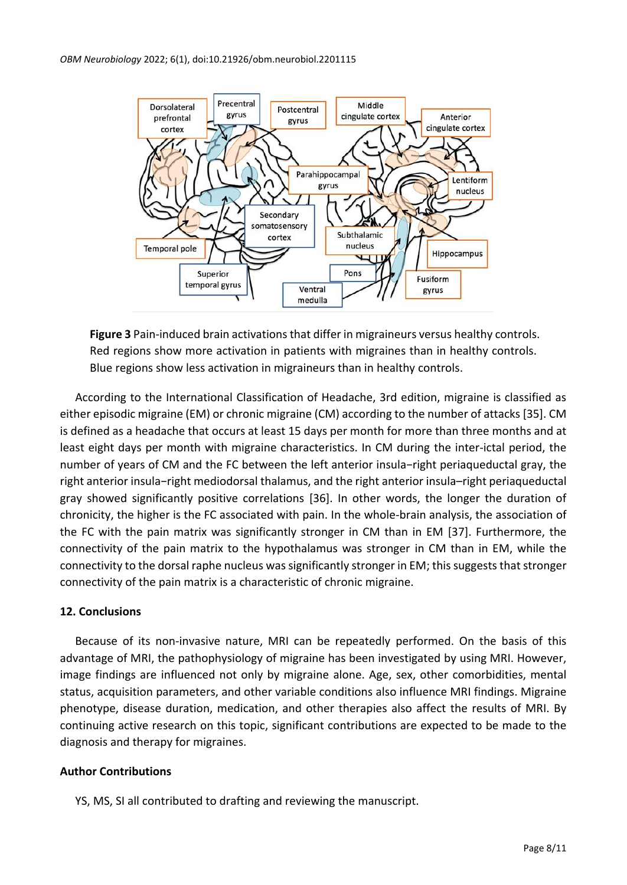

**Figure 3** Pain-induced brain activations that differ in migraineurs versus healthy controls. Red regions show more activation in patients with migraines than in healthy controls. Blue regions show less activation in migraineurs than in healthy controls.

According to the International Classification of Headache, 3rd edition, migraine is classified as either episodic migraine (EM) or chronic migraine (CM) according to the number of attacks [35]. CM is defined as a headache that occurs at least 15 days per month for more than three months and at least eight days per month with migraine characteristics. In CM during the inter-ictal period, the number of years of CM and the FC between the left anterior insula−right periaqueductal gray, the right anterior insula−right mediodorsal thalamus, and the right anterior insula–right periaqueductal gray showed significantly positive correlations [36]. In other words, the longer the duration of chronicity, the higher is the FC associated with pain. In the whole-brain analysis, the association of the FC with the pain matrix was significantly stronger in CM than in EM [37]. Furthermore, the connectivity of the pain matrix to the hypothalamus was stronger in CM than in EM, while the connectivity to the dorsal raphe nucleus was significantly stronger in EM; this suggests that stronger connectivity of the pain matrix is a characteristic of chronic migraine.

# **12. Conclusions**

Because of its non-invasive nature, MRI can be repeatedly performed. On the basis of this advantage of MRI, the pathophysiology of migraine has been investigated by using MRI. However, image findings are influenced not only by migraine alone. Age, sex, other comorbidities, mental status, acquisition parameters, and other variable conditions also influence MRI findings. Migraine phenotype, disease duration, medication, and other therapies also affect the results of MRI. By continuing active research on this topic, significant contributions are expected to be made to the diagnosis and therapy for migraines.

# **Author Contributions**

YS, MS, SI all contributed to drafting and reviewing the manuscript.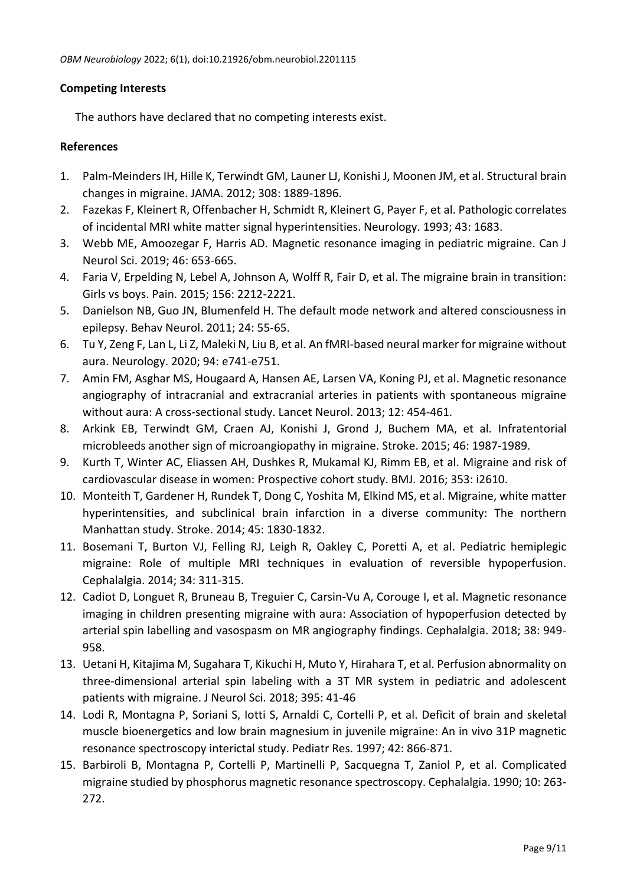# **Competing Interests**

The authors have declared that no competing interests exist.

# **References**

- 1. Palm-Meinders IH, Hille K, Terwindt GM, Launer LJ, Konishi J, Moonen JM, et al. Structural brain changes in migraine. JAMA. 2012; 308: 1889-1896.
- 2. Fazekas F, Kleinert R, Offenbacher H, Schmidt R, Kleinert G, Payer F, et al. Pathologic correlates of incidental MRI white matter signal hyperintensities. Neurology. 1993; 43: 1683.
- 3. Webb ME, Amoozegar F, Harris AD. Magnetic resonance imaging in pediatric migraine. Can J Neurol Sci. 2019; 46: 653-665.
- 4. Faria V, Erpelding N, Lebel A, Johnson A, Wolff R, Fair D, et al. The migraine brain in transition: Girls vs boys. Pain. 2015; 156: 2212-2221.
- 5. Danielson NB, Guo JN, Blumenfeld H. The default mode network and altered consciousness in epilepsy. Behav Neurol. 2011; 24: 55-65.
- 6. Tu Y, Zeng F, Lan L, Li Z, Maleki N, Liu B, et al. An fMRI-based neural marker for migraine without aura. Neurology. 2020; 94: e741-e751.
- 7. Amin FM, Asghar MS, Hougaard A, Hansen AE, Larsen VA, Koning PJ, et al. Magnetic resonance angiography of intracranial and extracranial arteries in patients with spontaneous migraine without aura: A cross-sectional study. Lancet Neurol. 2013; 12: 454-461.
- 8. Arkink EB, Terwindt GM, Craen AJ, Konishi J, Grond J, Buchem MA, et al. Infratentorial microbleeds another sign of microangiopathy in migraine. Stroke. 2015; 46: 1987-1989.
- 9. Kurth T, Winter AC, Eliassen AH, Dushkes R, Mukamal KJ, Rimm EB, et al. Migraine and risk of cardiovascular disease in women: Prospective cohort study. BMJ. 2016; 353: i2610.
- 10. Monteith T, Gardener H, Rundek T, Dong C, Yoshita M, Elkind MS, et al. Migraine, white matter hyperintensities, and subclinical brain infarction in a diverse community: The northern Manhattan study. Stroke. 2014; 45: 1830-1832.
- 11. Bosemani T, Burton VJ, Felling RJ, Leigh R, Oakley C, Poretti A, et al. Pediatric hemiplegic migraine: Role of multiple MRI techniques in evaluation of reversible hypoperfusion. Cephalalgia. 2014; 34: 311-315.
- 12. Cadiot D, Longuet R, Bruneau B, Treguier C, Carsin-Vu A, Corouge I, et al. Magnetic resonance imaging in children presenting migraine with aura: Association of hypoperfusion detected by arterial spin labelling and vasospasm on MR angiography findings. Cephalalgia. 2018; 38: 949- 958.
- 13. Uetani H, Kitajima M, Sugahara T, Kikuchi H, Muto Y, Hirahara T, et al. Perfusion abnormality on three-dimensional arterial spin labeling with a 3T MR system in pediatric and adolescent patients with migraine. J Neurol Sci. 2018; 395: 41-46
- 14. Lodi R, Montagna P, Soriani S, Iotti S, Arnaldi C, Cortelli P, et al. Deficit of brain and skeletal muscle bioenergetics and low brain magnesium in juvenile migraine: An in vivo 31P magnetic resonance spectroscopy interictal study. Pediatr Res. 1997; 42: 866-871.
- 15. Barbiroli B, Montagna P, Cortelli P, Martinelli P, Sacquegna T, Zaniol P, et al. Complicated migraine studied by phosphorus magnetic resonance spectroscopy. Cephalalgia. 1990; 10: 263- 272.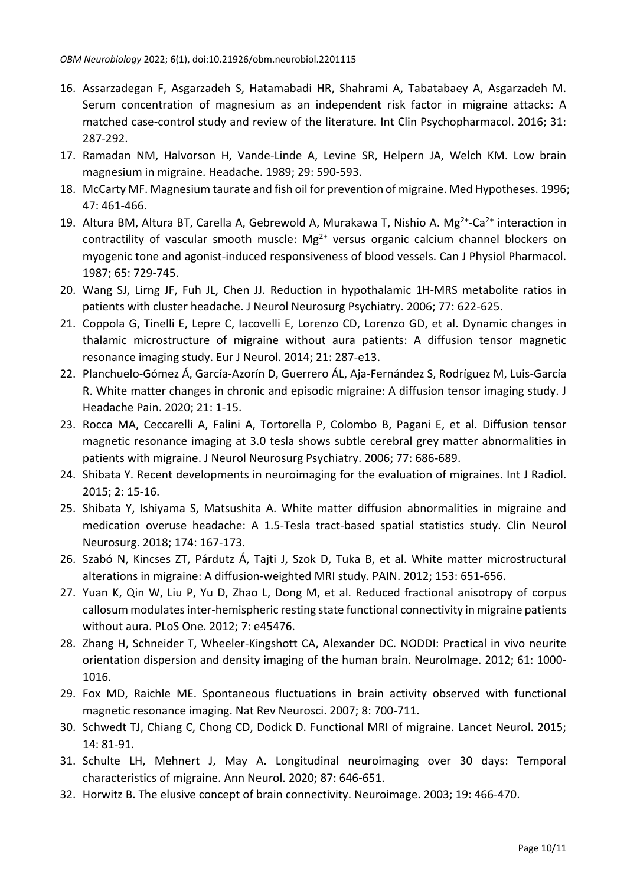- 16. Assarzadegan F, Asgarzadeh S, Hatamabadi HR, Shahrami A, Tabatabaey A, Asgarzadeh M. Serum concentration of magnesium as an independent risk factor in migraine attacks: A matched case-control study and review of the literature. Int Clin Psychopharmacol. 2016; 31: 287-292.
- 17. Ramadan NM, Halvorson H, Vande-Linde A, Levine SR, Helpern JA, Welch KM. Low brain magnesium in migraine. Headache. 1989; 29: 590-593.
- 18. McCarty MF. Magnesium taurate and fish oil for prevention of migraine. Med Hypotheses. 1996; 47: 461-466.
- 19. Altura BM, Altura BT, Carella A, Gebrewold A, Murakawa T, Nishio A.  $Mg^{2+}$ -Ca<sup>2+</sup> interaction in contractility of vascular smooth muscle:  $Mg^{2+}$  versus organic calcium channel blockers on myogenic tone and agonist-induced responsiveness of blood vessels. Can J Physiol Pharmacol. 1987; 65: 729-745.
- 20. Wang SJ, Lirng JF, Fuh JL, Chen JJ. Reduction in hypothalamic 1H-MRS metabolite ratios in patients with cluster headache. J Neurol Neurosurg Psychiatry. 2006; 77: 622-625.
- 21. Coppola G, Tinelli E, Lepre C, Iacovelli E, Lorenzo CD, Lorenzo GD, et al. Dynamic changes in thalamic microstructure of migraine without aura patients: A diffusion tensor magnetic resonance imaging study. Eur J Neurol. 2014; 21: 287-e13.
- 22. Planchuelo-Gómez Á, García-Azorín D, Guerrero ÁL, Aja-Fernández S, Rodríguez M, Luis-García R. White matter changes in chronic and episodic migraine: A diffusion tensor imaging study. J Headache Pain. 2020; 21: 1-15.
- 23. Rocca MA, Ceccarelli A, Falini A, Tortorella P, Colombo B, Pagani E, et al. Diffusion tensor magnetic resonance imaging at 3.0 tesla shows subtle cerebral grey matter abnormalities in patients with migraine. J Neurol Neurosurg Psychiatry. 2006; 77: 686-689.
- 24. Shibata Y. Recent developments in neuroimaging for the evaluation of migraines. Int J Radiol. 2015; 2: 15-16.
- 25. Shibata Y, Ishiyama S, Matsushita A. White matter diffusion abnormalities in migraine and medication overuse headache: A 1.5-Tesla tract-based spatial statistics study. Clin Neurol Neurosurg. 2018; 174: 167-173.
- 26. Szabó N, Kincses ZT, Párdutz Á, Tajti J, Szok D, Tuka B, et al. White matter microstructural alterations in migraine: A diffusion-weighted MRI study. PAIN. 2012; 153: 651-656.
- 27. Yuan K, Qin W, Liu P, Yu D, Zhao L, Dong M, et al. Reduced fractional anisotropy of corpus callosum modulates inter-hemispheric resting state functional connectivity in migraine patients without aura. PLoS One. 2012; 7: e45476.
- 28. Zhang H, Schneider T, Wheeler-Kingshott CA, Alexander DC. NODDI: Practical in vivo neurite orientation dispersion and density imaging of the human brain. NeuroImage. 2012; 61: 1000- 1016.
- 29. Fox MD, Raichle ME. Spontaneous fluctuations in brain activity observed with functional magnetic resonance imaging. Nat Rev Neurosci. 2007; 8: 700-711.
- 30. Schwedt TJ, Chiang C, Chong CD, Dodick D. Functional MRI of migraine. Lancet Neurol. 2015; 14: 81-91.
- 31. Schulte LH, Mehnert J, May A. Longitudinal neuroimaging over 30 days: Temporal characteristics of migraine. Ann Neurol. 2020; 87: 646-651.
- 32. Horwitz B. The elusive concept of brain connectivity. Neuroimage. 2003; 19: 466-470.